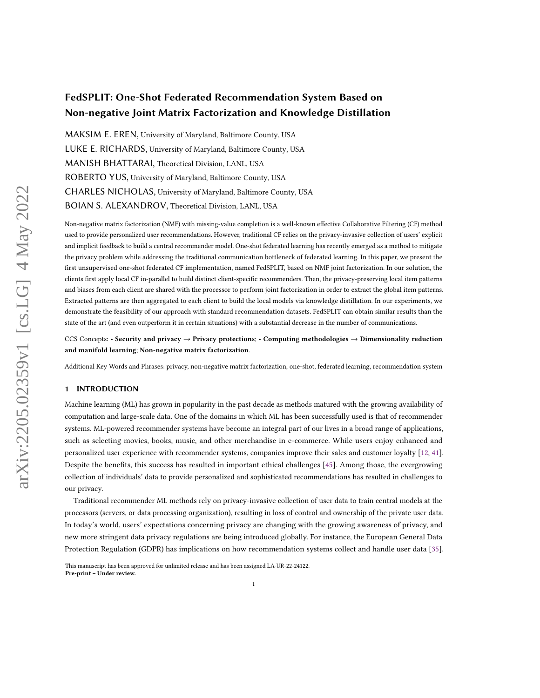# F[e](#page-0-0)[d](#page-0-1)SPLIT: One-Shot Federated Recommendation System Based on Non-negative Joint Matrix Factorization and Knowledge Distillation

MAKSIM E. EREN, University of Maryland, Baltimore County, USA LUKE E. RICHARDS, University of Maryland, Baltimore County, USA MANISH BHATTARAI, Theoretical Division, LANL, USA ROBERTO YUS, University of Maryland, Baltimore County, USA CHARLES NICHOLAS, University of Maryland, Baltimore County, USA BOIAN S. ALEXANDROV, Theoretical Division, LANL, USA

Non-negative matrix factorization (NMF) with missing-value completion is a well-known effective Collaborative Filtering (CF) method used to provide personalized user recommendations. However, traditional CF relies on the privacy-invasive collection of users' explicit and implicit feedback to build a central recommender model. One-shot federated learning has recently emerged as a method to mitigate the privacy problem while addressing the traditional communication bottleneck of federated learning. In this paper, we present the first unsupervised one-shot federated CF implementation, named FedSPLIT, based on NMF joint factorization. In our solution, the clients first apply local CF in-parallel to build distinct client-specific recommenders. Then, the privacy-preserving local item patterns and biases from each client are shared with the processor to perform joint factorization in order to extract the global item patterns. Extracted patterns are then aggregated to each client to build the local models via knowledge distillation. In our experiments, we demonstrate the feasibility of our approach with standard recommendation datasets. FedSPLIT can obtain similar results than the state of the art (and even outperform it in certain situations) with a substantial decrease in the number of communications.

CCS Concepts: • Security and privacy → Privacy protections; • Computing methodologies → Dimensionality reduction and manifold learning; Non-negative matrix factorization.

Additional Key Words and Phrases: privacy, non-negative matrix factorization, one-shot, federated learning, recommendation system

## 1 INTRODUCTION

Machine learning (ML) has grown in popularity in the past decade as methods matured with the growing availability of computation and large-scale data. One of the domains in which ML has been successfully used is that of recommender systems. ML-powered recommender systems have become an integral part of our lives in a broad range of applications, such as selecting movies, books, music, and other merchandise in e-commerce. While users enjoy enhanced and personalized user experience with recommender systems, companies improve their sales and customer loyalty [\[12,](#page-14-0) [41\]](#page-15-0). Despite the benefits, this success has resulted in important ethical challenges [\[45\]](#page-15-1). Among those, the evergrowing collection of individuals' data to provide personalized and sophisticated recommendations has resulted in challenges to our privacy.

Traditional recommender ML methods rely on privacy-invasive collection of user data to train central models at the processors (servers, or data processing organization), resulting in loss of control and ownership of the private user data. In today's world, users' expectations concerning privacy are changing with the growing awareness of privacy, and new more stringent data privacy regulations are being introduced globally. For instance, the European General Data Protection Regulation (GDPR) has implications on how recommendation systems collect and handle user data [\[35\]](#page-15-2).

<span id="page-0-1"></span><span id="page-0-0"></span>This manuscript has been approved for unlimited release and has been assigned LA-UR-22-24122. Pre-print – Under review.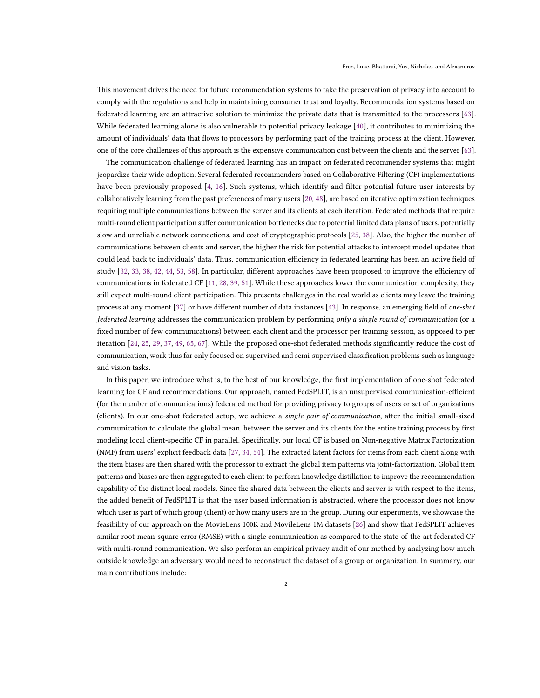This movement drives the need for future recommendation systems to take the preservation of privacy into account to comply with the regulations and help in maintaining consumer trust and loyalty. Recommendation systems based on federated learning are an attractive solution to minimize the private data that is transmitted to the processors [\[63\]](#page-16-0). While federated learning alone is also vulnerable to potential privacy leakage [\[40\]](#page-15-3), it contributes to minimizing the amount of individuals' data that flows to processors by performing part of the training process at the client. However, one of the core challenges of this approach is the expensive communication cost between the clients and the server [\[63\]](#page-16-0).

The communication challenge of federated learning has an impact on federated recommender systems that might jeopardize their wide adoption. Several federated recommenders based on Collaborative Filtering (CF) implementations have been previously proposed [\[4,](#page-14-1) [16\]](#page-14-2). Such systems, which identify and filter potential future user interests by collaboratively learning from the past preferences of many users [\[20,](#page-14-3) [48\]](#page-15-4), are based on iterative optimization techniques requiring multiple communications between the server and its clients at each iteration. Federated methods that require multi-round client participation suffer communication bottlenecks due to potential limited data plans of users, potentially slow and unreliable network connections, and cost of cryptographic protocols [\[25,](#page-14-4) [38\]](#page-15-5). Also, the higher the number of communications between clients and server, the higher the risk for potential attacks to intercept model updates that could lead back to individuals' data. Thus, communication efficiency in federated learning has been an active field of study [\[32,](#page-15-6) [33,](#page-15-7) [38,](#page-15-5) [42,](#page-15-8) [44,](#page-15-9) [53,](#page-15-10) [58\]](#page-16-1). In particular, different approaches have been proposed to improve the efficiency of communications in federated CF [\[11,](#page-14-5) [28,](#page-15-11) [39,](#page-15-12) [51\]](#page-15-13). While these approaches lower the communication complexity, they still expect multi-round client participation. This presents challenges in the real world as clients may leave the training process at any moment [\[37\]](#page-15-14) or have different number of data instances [\[43\]](#page-15-15). In response, an emerging field of one-shot federated learning addresses the communication problem by performing only a single round of communication (or a fixed number of few communications) between each client and the processor per training session, as opposed to per iteration [\[24,](#page-14-6) [25,](#page-14-4) [29,](#page-15-16) [37,](#page-15-14) [49,](#page-15-17) [65,](#page-16-2) [67\]](#page-16-3). While the proposed one-shot federated methods significantly reduce the cost of communication, work thus far only focused on supervised and semi-supervised classification problems such as language and vision tasks.

In this paper, we introduce what is, to the best of our knowledge, the first implementation of one-shot federated learning for CF and recommendations. Our approach, named FedSPLIT, is an unsupervised communication-efficient (for the number of communications) federated method for providing privacy to groups of users or set of organizations (clients). In our one-shot federated setup, we achieve a single pair of communication, after the initial small-sized communication to calculate the global mean, between the server and its clients for the entire training process by first modeling local client-specific CF in parallel. Specifically, our local CF is based on Non-negative Matrix Factorization (NMF) from users' explicit feedback data [\[27,](#page-15-18) [34,](#page-15-19) [54\]](#page-15-20). The extracted latent factors for items from each client along with the item biases are then shared with the processor to extract the global item patterns via joint-factorization. Global item patterns and biases are then aggregated to each client to perform knowledge distillation to improve the recommendation capability of the distinct local models. Since the shared data between the clients and server is with respect to the items, the added benefit of FedSPLIT is that the user based information is abstracted, where the processor does not know which user is part of which group (client) or how many users are in the group. During our experiments, we showcase the feasibility of our approach on the MovieLens 100K and MovileLens 1M datasets [\[26\]](#page-14-7) and show that FedSPLIT achieves similar root-mean-square error (RMSE) with a single communication as compared to the state-of-the-art federated CF with multi-round communication. We also perform an empirical privacy audit of our method by analyzing how much outside knowledge an adversary would need to reconstruct the dataset of a group or organization. In summary, our main contributions include: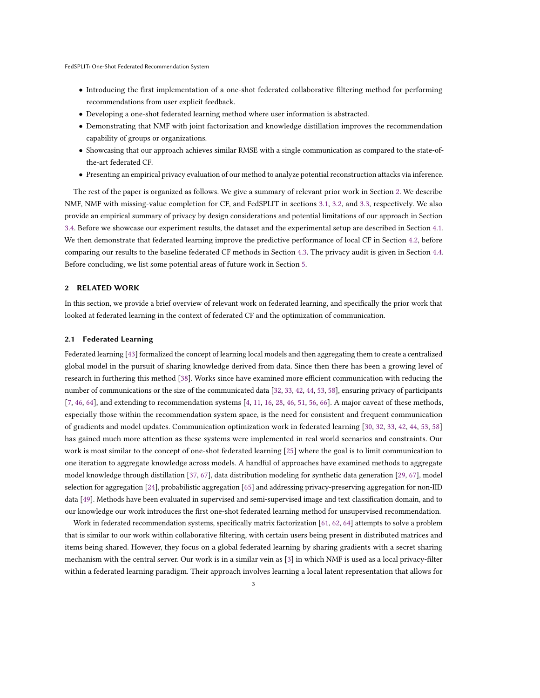- Introducing the first implementation of a one-shot federated collaborative filtering method for performing recommendations from user explicit feedback.
- Developing a one-shot federated learning method where user information is abstracted.
- Demonstrating that NMF with joint factorization and knowledge distillation improves the recommendation capability of groups or organizations.
- Showcasing that our approach achieves similar RMSE with a single communication as compared to the state-ofthe-art federated CF.
- Presenting an empirical privacy evaluation of our method to analyze potential reconstruction attacks via inference.

The rest of the paper is organized as follows. We give a summary of relevant prior work in Section [2.](#page-2-0) We describe NMF, NMF with missing-value completion for CF, and FedSPLIT in sections [3.1,](#page-3-0) [3.2,](#page-4-0) and [3.3,](#page-5-0) respectively. We also provide an empirical summary of privacy by design considerations and potential limitations of our approach in Section [3.4.](#page-7-0) Before we showcase our experiment results, the dataset and the experimental setup are described in Section [4.1.](#page-8-0) We then demonstrate that federated learning improve the predictive performance of local CF in Section [4.2,](#page-9-0) before comparing our results to the baseline federated CF methods in Section [4.3.](#page-11-0) The privacy audit is given in Section [4.4.](#page-12-0) Before concluding, we list some potential areas of future work in Section [5.](#page-13-0)

#### <span id="page-2-0"></span>2 RELATED WORK

In this section, we provide a brief overview of relevant work on federated learning, and specifically the prior work that looked at federated learning in the context of federated CF and the optimization of communication.

## 2.1 Federated Learning

Federated learning [\[43\]](#page-15-15) formalized the concept of learning local models and then aggregating them to create a centralized global model in the pursuit of sharing knowledge derived from data. Since then there has been a growing level of research in furthering this method [\[38\]](#page-15-5). Works since have examined more efficient communication with reducing the number of communications or the size of the communicated data [\[32,](#page-15-6) [33,](#page-15-7) [42,](#page-15-8) [44,](#page-15-9) [53,](#page-15-10) [58\]](#page-16-1), ensuring privacy of participants [\[7,](#page-14-8) [46,](#page-15-21) [64\]](#page-16-4), and extending to recommendation systems [\[4,](#page-14-1) [11,](#page-14-5) [16,](#page-14-2) [28,](#page-15-11) [46,](#page-15-21) [51,](#page-15-13) [56,](#page-15-22) [66\]](#page-16-5). A major caveat of these methods, especially those within the recommendation system space, is the need for consistent and frequent communication of gradients and model updates. Communication optimization work in federated learning [\[30,](#page-15-23) [32,](#page-15-6) [33,](#page-15-7) [42,](#page-15-8) [44,](#page-15-9) [53,](#page-15-10) [58\]](#page-16-1) has gained much more attention as these systems were implemented in real world scenarios and constraints. Our work is most similar to the concept of one-shot federated learning [\[25\]](#page-14-4) where the goal is to limit communication to one iteration to aggregate knowledge across models. A handful of approaches have examined methods to aggregate model knowledge through distillation [\[37,](#page-15-14) [67\]](#page-16-3), data distribution modeling for synthetic data generation [\[29,](#page-15-16) [67\]](#page-16-3), model selection for aggregation [\[24\]](#page-14-6), probabilistic aggregation [\[65\]](#page-16-2) and addressing privacy-preserving aggregation for non-IID data [\[49\]](#page-15-17). Methods have been evaluated in supervised and semi-supervised image and text classification domain, and to our knowledge our work introduces the first one-shot federated learning method for unsupervised recommendation.

Work in federated recommendation systems, specifically matrix factorization [\[61,](#page-16-6) [62,](#page-16-7) [64\]](#page-16-4) attempts to solve a problem that is similar to our work within collaborative filtering, with certain users being present in distributed matrices and items being shared. However, they focus on a global federated learning by sharing gradients with a secret sharing mechanism with the central server. Our work is in a similar vein as [\[3\]](#page-14-9) in which NMF is used as a local privacy-filter within a federated learning paradigm. Their approach involves learning a local latent representation that allows for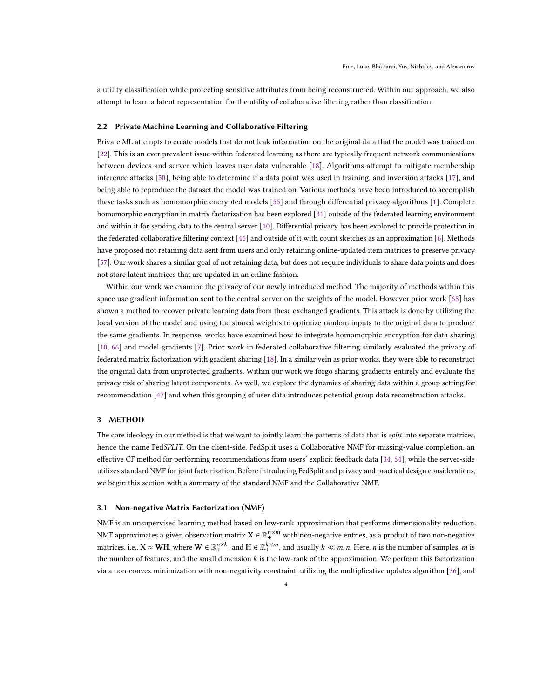a utility classification while protecting sensitive attributes from being reconstructed. Within our approach, we also attempt to learn a latent representation for the utility of collaborative filtering rather than classification.

## 2.2 Private Machine Learning and Collaborative Filtering

Private ML attempts to create models that do not leak information on the original data that the model was trained on [\[22\]](#page-14-10). This is an ever prevalent issue within federated learning as there are typically frequent network communications between devices and server which leaves user data vulnerable [\[18\]](#page-14-11). Algorithms attempt to mitigate membership inference attacks [\[50\]](#page-15-24), being able to determine if a data point was used in training, and inversion attacks [\[17\]](#page-14-12), and being able to reproduce the dataset the model was trained on. Various methods have been introduced to accomplish these tasks such as homomorphic encrypted models [\[55\]](#page-15-25) and through differential privacy algorithms [\[1\]](#page-14-13). Complete homomorphic encryption in matrix factorization has been explored [\[31\]](#page-15-26) outside of the federated learning environment and within it for sending data to the central server [\[10\]](#page-14-14). Differential privacy has been explored to provide protection in the federated collaborative filtering context [\[46\]](#page-15-21) and outside of it with count sketches as an approximation [\[6\]](#page-14-15). Methods have proposed not retaining data sent from users and only retaining online-updated item matrices to preserve privacy [\[57\]](#page-16-8). Our work shares a similar goal of not retaining data, but does not require individuals to share data points and does not store latent matrices that are updated in an online fashion.

Within our work we examine the privacy of our newly introduced method. The majority of methods within this space use gradient information sent to the central server on the weights of the model. However prior work [\[68\]](#page-16-9) has shown a method to recover private learning data from these exchanged gradients. This attack is done by utilizing the local version of the model and using the shared weights to optimize random inputs to the original data to produce the same gradients. In response, works have examined how to integrate homomorphic encryption for data sharing [\[10,](#page-14-14) [66\]](#page-16-5) and model gradients [\[7\]](#page-14-8). Prior work in federated collaborative filtering similarly evaluated the privacy of federated matrix factorization with gradient sharing [\[18\]](#page-14-11). In a similar vein as prior works, they were able to reconstruct the original data from unprotected gradients. Within our work we forgo sharing gradients entirely and evaluate the privacy risk of sharing latent components. As well, we explore the dynamics of sharing data within a group setting for recommendation [\[47\]](#page-15-27) and when this grouping of user data introduces potential group data reconstruction attacks.

# 3 METHOD

The core ideology in our method is that we want to jointly learn the patterns of data that is *split* into separate matrices, hence the name FedSPLIT. On the client-side, FedSplit uses a Collaborative NMF for missing-value completion, an effective CF method for performing recommendations from users' explicit feedback data [\[34,](#page-15-19) [54\]](#page-15-20), while the server-side utilizes standard NMF for joint factorization. Before introducing FedSplit and privacy and practical design considerations, we begin this section with a summary of the standard NMF and the Collaborative NMF.

## <span id="page-3-0"></span>3.1 Non-negative Matrix Factorization (NMF)

NMF is an unsupervised learning method based on low-rank approximation that performs dimensionality reduction. NMF approximates a given observation matrix  $X\in\mathbb{R}^{n\times m}_+$  with non-negative entries, as a product of two non-negative matrices, i.e.,  $X \approx WH$ , where  $W \in \mathbb{R}^{n \times k}_+$ , and  $H \in \mathbb{R}^{k \times m}_+$ , and usually  $k \ll m$ , n. Here, n is the number of samples, m is the number of features, and the small dimension  $k$  is the low-rank of the approximation. We perform this factorization via a non-convex minimization with non-negativity constraint, utilizing the multiplicative updates algorithm [\[36\]](#page-15-28), and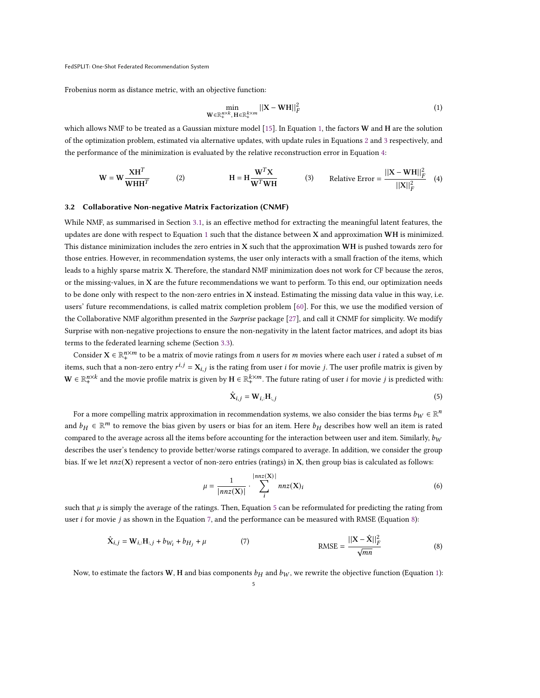Frobenius norm as distance metric, with an objective function:

<span id="page-4-4"></span><span id="page-4-3"></span><span id="page-4-2"></span><span id="page-4-1"></span>
$$
\min_{\mathbf{W} \in \mathbb{R}_+^{R \times K}, \, \mathbf{H} \in \mathbb{R}_+^{k \times m}} ||\mathbf{X} - \mathbf{W} \mathbf{H}||_F^2
$$
\n(1)

which allows NMF to be treated as a Gaussian mixture model [\[15\]](#page-14-16). In Equation [1,](#page-4-1) the factors W and H are the solution of the optimization problem, estimated via alternative updates, with update rules in Equations [2](#page-4-2) and [3](#page-4-3) respectively, and the performance of the minimization is evaluated by the relative reconstruction error in Equation [4:](#page-4-4)

$$
\mathbf{W} = \mathbf{W} \frac{\mathbf{X} \mathbf{H}^T}{\mathbf{W} \mathbf{H} \mathbf{H}^T}
$$
 (2) 
$$
\mathbf{H} = \mathbf{H} \frac{\mathbf{W}^T \mathbf{X}}{\mathbf{W}^T \mathbf{W} \mathbf{H}}
$$
 (3) Relative Error = 
$$
\frac{||\mathbf{X} - \mathbf{W} \mathbf{H}||_F^2}{||\mathbf{X}||_F^2}
$$
 (4)

# <span id="page-4-0"></span>3.2 Collaborative Non-negative Matrix Factorization (CNMF)

While NMF, as summarised in Section [3.1,](#page-3-0) is an effective method for extracting the meaningful latent features, the updates are done with respect to Equation [1](#page-4-1) such that the distance between X and approximation WH is minimized. This distance minimization includes the zero entries in X such that the approximation WH is pushed towards zero for those entries. However, in recommendation systems, the user only interacts with a small fraction of the items, which leads to a highly sparse matrix X. Therefore, the standard NMF minimization does not work for CF because the zeros, or the missing-values, in  $X$  are the future recommendations we want to perform. To this end, our optimization needs to be done only with respect to the non-zero entries in X instead. Estimating the missing data value in this way, i.e. users' future recommendations, is called matrix completion problem [\[60\]](#page-16-10). For this, we use the modified version of the Collaborative NMF algorithm presented in the Surprise package [\[27\]](#page-15-18), and call it CNMF for simplicity. We modify Surprise with non-negative projections to ensure the non-negativity in the latent factor matrices, and adopt its bias terms to the federated learning scheme (Section [3.3\)](#page-5-0).

Consider  $X \in \mathbb{R}^{n \times m}_+$  to be a matrix of movie ratings from *n* users for *m* movies where each user *i* rated a subset of *m* items, such that a non-zero entry  $r^{i,j} = X_{i,j}$  is the rating from user *i* for movie *j*. The user profile matrix is given by  $\mathbf{W} \in \mathbb{R}_+^{n \times k}$  and the movie profile matrix is given by  $\mathbf{H} \in \mathbb{R}_+^{k \times m}$ . The future rating of user *i* for movie *j* is predicted with:

<span id="page-4-5"></span>
$$
\hat{\mathbf{X}}_{i,j} = \mathbf{W}_{i,:} \mathbf{H}_{:,j} \tag{5}
$$

For a more compelling matrix approximation in recommendation systems, we also consider the bias terms  $b_W \in \mathbb{R}^n$ and  $b_H \in \mathbb{R}^m$  to remove the bias given by users or bias for an item. Here  $b_H$  describes how well an item is rated compared to the average across all the items before accounting for the interaction between user and item. Similarly,  $b_W$ describes the user's tendency to provide better/worse ratings compared to average. In addition, we consider the group bias. If we let  $nnz(X)$  represent a vector of non-zero entries (ratings) in X, then group bias is calculated as follows:

<span id="page-4-8"></span><span id="page-4-7"></span><span id="page-4-6"></span>
$$
\mu = \frac{1}{|nnz(\mathbf{X})|} \cdot \sum_{i}^{|nnz(\mathbf{X})|} nnz(\mathbf{X})_i \tag{6}
$$

such that  $\mu$  is simply the average of the ratings. Then, Equation [5](#page-4-5) can be reformulated for predicting the rating from user  $i$  for movie  $j$  as shown in the Equation [7,](#page-4-6) and the performance can be measured with RMSE (Equation [8\)](#page-4-7):

$$
\hat{\mathbf{X}}_{i,j} = \mathbf{W}_{i,:} \mathbf{H}_{:,j} + b_{W_i} + b_{H_j} + \mu
$$
\n(7) 
$$
\text{RMSE} = \frac{||\mathbf{X} - \hat{\mathbf{X}}||_F^2}{\sqrt{mn}}
$$
\n(8)

Now, to estimate the factors W, H and bias components  $b_H$  and  $b_W$ , we rewrite the objective function (Equation [1\)](#page-4-1):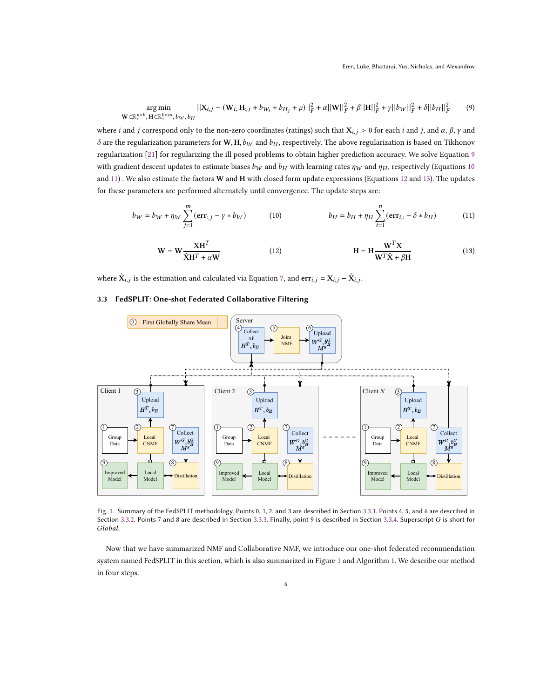$$
\underset{\mathbf{W} \in \mathbb{R}_{+}^{n \times k}, \mathbf{H} \in \mathbb{R}_{+}^{k \times m}, b_{W}, b_{H}}{\arg \min} ||\mathbf{X}_{i,j} - (\mathbf{W}_{i,:} \mathbf{H}_{:,j} + b_{W_{i}} + b_{H_{j}} + \mu)||_{F}^{2} + \alpha ||\mathbf{W}||_{F}^{2} + \beta ||\mathbf{H}||_{F}^{2} + \gamma ||b_{W}||_{F}^{2} + \delta ||b_{H}||_{F}^{2}
$$
 (9)

where *i* and *j* correspond only to the non-zero coordinates (ratings) such that  $X_{i,j} > 0$  for each *i* and *j*, and  $\alpha$ ,  $\beta$ ,  $\gamma$  and  $\delta$  are the regularization parameters for W, H,  $b_W$  and  $b_H$ , respectively. The above regularization is based on Tikhonov regularization [\[21\]](#page-14-17) for regularizing the ill posed problems to obtain higher prediction accuracy. We solve Equation [9](#page-5-1) with gradient descent updates to estimate biases  $b_W$  and  $b_H$  with learning rates  $\eta_W$  and  $\eta_H$ , respectively (Equations [10](#page-5-2)) and [11\)](#page-5-3). We also estimate the factors W and H with closed form update expressions (Equations [12](#page-5-4) and [13\)](#page-5-5). The updates for these parameters are performed alternately until convergence. The update steps are:

$$
b_W = b_W + \eta_W \sum_{j=1}^m (\text{err}_{:,j} - \gamma * b_W) \tag{10}
$$
\n
$$
b_H = b_H + \eta_H \sum_{i=1}^n (\text{err}_{i,:} - \delta * b_H) \tag{11}
$$

<span id="page-5-5"></span><span id="page-5-4"></span><span id="page-5-3"></span><span id="page-5-2"></span><span id="page-5-1"></span>
$$
\mathbf{W} = \mathbf{W} \frac{\mathbf{X} \mathbf{H}^T}{\hat{\mathbf{X}} \mathbf{H}^T + \alpha \mathbf{W}} \tag{12}
$$
\n
$$
\mathbf{H} = \mathbf{H} \frac{\mathbf{W}^T \mathbf{X}}{\mathbf{W}^T \hat{\mathbf{X}} + \beta \mathbf{H}} \tag{13}
$$

where  $\hat{\mathbf{X}}_{i,j}$  is the estimation and calculated via Equation [7,](#page-4-6) and  $\textbf{err}_{i,j} = \mathbf{X}_{i,j} - \hat{\mathbf{X}}_{i,j}$ .

# <span id="page-5-0"></span>3.3 FedSPLIT: One-shot Federated Collaborative Filtering

<span id="page-5-6"></span>

Fig. 1. Summary of the FedSPLIT methodology. Points 0, 1, 2, and 3 are described in Section [3.3.1.](#page-6-0) Points 4, 5, and 6 are described in Section [3.3.2.](#page-6-1) Points 7 and 8 are described in Section [3.3.3.](#page-7-1) Finally, point 9 is described in Section [3.3.4.](#page-7-2) Superscript G is short for Global.

Now that we have summarized NMF and Collaborative NMF, we introduce our one-shot federated recommendation system named FedSPLIT in this section, which is also summarized in Figure [1](#page-5-6) and Algorithm [1.](#page-6-2) We describe our method in four steps.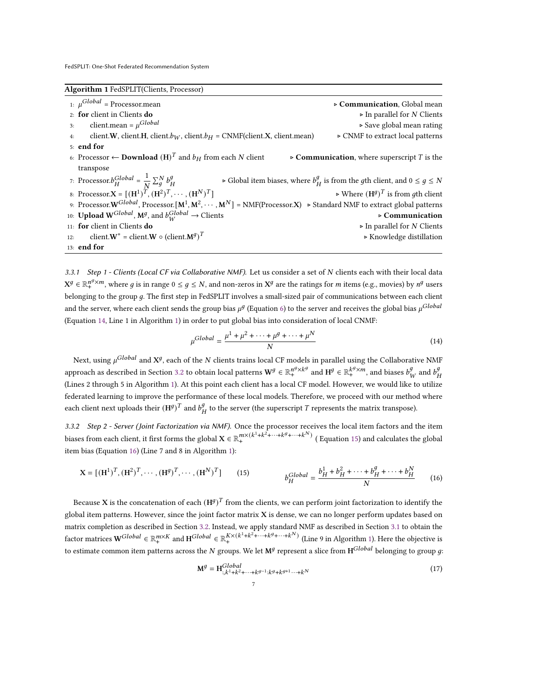<span id="page-6-2"></span>Algorithm 1 FedSPLIT(Clients, Processor)

1:  $\mu$ <sup>Global</sup> = Processor.mean = Processor.mean ⊲ Communication, Global mean 2: **for** client in Clients **do** △ In parallel for *N* Clients 3: client.mean =  $\mu$ <sup>Global</sup> ⊲ Save global mean rating 4: client.W, client.H, client. $b_W$ , client. $b_H = \text{CNMF}$ (client.X, client.mean)  $\rightarrow \text{CNMF}$  to extract local patterns 5: end for 6: Processor ← Download  $(H)^T$  $\triangleright$  Communication, where superscript *T* is the transpose 7: Processor. $b_H^{Global} = \frac{1}{N}$  $\frac{1}{N}\sum_{g}^{N}b_{F}^{g}$ Ή ⊳ Global item biases, where  $b^g_\mu$  $\frac{g}{H}$  is from the  $g$ th client, and 0 ≤  $g$  ≤  $N$ 8: Processor. $X = [(H^1)^{\tilde{T}}, (H^2)^T, \cdots, (H^N)^T]$   $\rightarrow$  Where  $(H^g)^T$  is from gth client 9: Processor. ${\bf W}^{Global}$ , Processor. $[{\bf M}^1, {\bf M}^2, \cdots, {\bf M}^N]=\text{NMF}(\text{Processor}.{\bf X}) \to \text{Standard NMF}$  to extract global patterns 10: Upload W<sup>Global</sup>, M<sup>g</sup>, and  $b_W^{Global} \rightarrow$  Clients  $\rightarrow$  Communication 11: for client in Clients do ⊲ In parallel for Clients 12: client. $W^* =$  client. $W \circ$  (client. $M^g$ )<sup>T</sup> ⊲ Knowledge distillation 13: end for

<span id="page-6-0"></span>3.3.1 Step 1 - Clients (Local CF via Collaborative NMF). Let us consider a set of N clients each with their local data  $X^g\in\mathbb{R}^{n^g\times m}_+$ , where  $g$  is in range  $0\leq g\leq N$ , and non-zeros in  $X^g$  are the ratings for  $m$  items (e.g., movies) by  $n^g$  users belonging to the group q. The first step in FedSPLIT involves a small-sized pair of communications between each client and the server, where each client sends the group bias  $\mu^g$  (Equation [6\)](#page-4-8) to the server and receives the global bias  $\mu^{Global}$ (Equation [14,](#page-6-3) Line 1 in Algorithm [1\)](#page-6-2) in order to put global bias into consideration of local CNMF:

<span id="page-6-3"></span>
$$
\mu^{Global} = \frac{\mu^1 + \mu^2 + \dots + \mu^g + \dots + \mu^N}{N} \tag{14}
$$

Next, using  $\mu^{Global}$  and  $\mathbf{X}^g$ , each of the  $N$  clients trains local CF models in parallel using the Collaborative NMF approach as described in Section [3.2](#page-4-0) to obtain local patterns  $\mathbf{W}^g \in \mathbb{R}_+^{n^g \times k^g}$  and  $\mathbf{H}^g \in \mathbb{R}_+^{k^g \times m}$ , and biases  $b^g_V$  $\frac{g}{W}$  and  $b^g_I$ Ή (Lines 2 through 5 in Algorithm [1\)](#page-6-2). At this point each client has a local CF model. However, we would like to utilize federated learning to improve the performance of these local models. Therefore, we proceed with our method where each client next uploads their  $(H^g)$ <sup>T</sup> and  $b^g$ <sub>t</sub>  $\frac{g}{H}$  to the server (the superscript  $T$  represents the matrix transpose).

<span id="page-6-1"></span>3.3.2 Step 2 - Server (Joint Factorization via NMF). Once the processor receives the local item factors and the item biases from each client, it first forms the global  $X \in \mathbb{R}^{m\times (k^1+k^2+\cdots+k^g+\cdots+k^N)}_+$  (Equation [15\)](#page-6-4) and calculates the global item bias (Equation [16\)](#page-6-5) (Line 7 and 8 in Algorithm [1\)](#page-6-2):

$$
\mathbf{X} = [(\mathbf{H}^{1})^{T}, (\mathbf{H}^{2})^{T}, \cdots, (\mathbf{H}^{g})^{T}, \cdots, (\mathbf{H}^{N})^{T}]
$$
 (15) 
$$
b_{H}^{Global} = \frac{b_{H}^{1} + b_{H}^{2} + \cdots + b_{H}^{g} + \cdots + b_{H}^{N}}{N}
$$
 (16)

Because **X** is the concatenation of each  $(\text{H}^g)^T$  from the clients, we can perform joint factorization to identify the global item patterns. However, since the joint factor matrix X is dense, we can no longer perform updates based on matrix completion as described in Section [3.2.](#page-4-0) Instead, we apply standard NMF as described in Section [3.1](#page-3-0) to obtain the factor matrices  $\mathbf{W}^{Global} \in \mathbb{R}_{+}^{m \times K}$  and  $\mathbf{H}^{Global} \in \mathbb{R}_{+}^{K \times (k^1 + k^2 + \cdots + k^g + \cdots + k^N)}$  (Line 9 in Algorithm [1\)](#page-6-2). Here the objective is to estimate common item patterns across the N groups. We let  $\mathrm{M}^g$  represent a slice from  $\mathrm{H}^{Global}$  belonging to group  $g$ :

<span id="page-6-6"></span><span id="page-6-5"></span><span id="page-6-4"></span>
$$
\mathbf{M}^{g} = \mathbf{H}^{Global}_{:,k^{1}+k^{2}+\cdots+k^{g-1}:k^{g}+k^{g+1}\cdots+k^{N}}
$$
\n(17)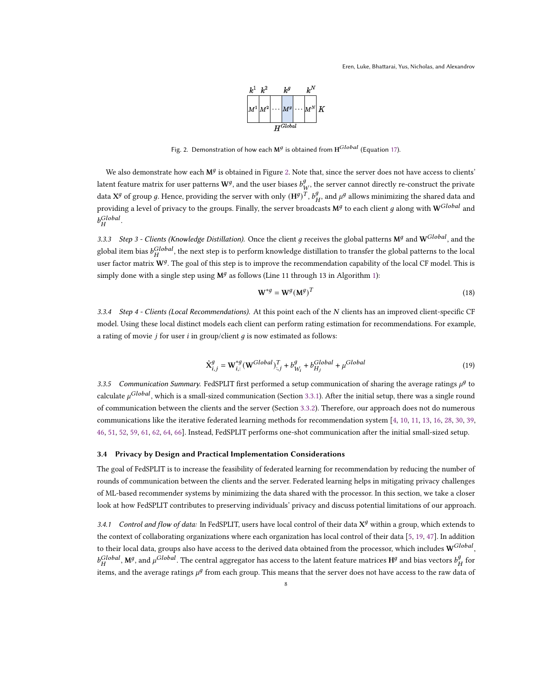

Fig. 2. Demonstration of how each  $M<sup>g</sup>$  is obtained from  $H<sup>Global</sup>$  (Equation [17\)](#page-6-6).

<span id="page-7-3"></span>We also demonstrate how each  $M<sup>g</sup>$  is obtained in Figure [2.](#page-7-3) Note that, since the server does not have access to clients' latent feature matrix for user patterns  $\mathbf{W}^{g}$ , and the user biases  $b^g_{\nu}$  $W_W^9$ , the server cannot directly re-construct the private data  $X^g$  of group g. Hence, providing the server with only  $(H^g)^T$ ,  $b^g_{\mu}$  $^g_H$ , and  $\mu^g$  allows minimizing the shared data and providing a level of privacy to the groups. Finally, the server broadcasts  $M^g$  to each client  $g$  along with  $W^{Global}$  and  $b_H^{Global}$ .

<span id="page-7-1"></span>3.3.3 Step 3 - Clients (Knowledge Distillation). Once the client g receives the global patterns  $M^g$  and  $W^{Global}$ , and the global item bias  $b_H^{Global}$ , the next step is to perform knowledge distillation to transfer the global patterns to the local user factor matrix  $W^g$ . The goal of this step is to improve the recommendation capability of the local CF model. This is simply done with a single step using  $\mathbf{M}^{g}$  as follows (Line 11 through 13 in Algorithm [1\)](#page-6-2):

<span id="page-7-4"></span>
$$
\mathbf{W}^{\ast g} = \mathbf{W}^g (\mathbf{M}^g)^T \tag{18}
$$

<span id="page-7-2"></span>3.3.4 Step 4 - Clients (Local Recommendations). At this point each of the N clients has an improved client-specific CF model. Using these local distinct models each client can perform rating estimation for recommendations. For example, a rating of movie  $j$  for user  $i$  in group/client  $g$  is now estimated as follows:

$$
\hat{\mathbf{X}}_{i,j}^g = \mathbf{W}_{i,:}^{*g} (\mathbf{W}^{Global})_{:,j}^T + b_{W_i}^g + b_{H_j}^{Global} + \mu^{Global}
$$
\n(19)

3.3.5 Communication Summary. FedSPLIT first performed a setup communication of sharing the average ratings  $\mu^g$  to calculate  $\mu^{Global}$ , which is a small-sized communication (Section [3.3.1\)](#page-6-0). After the initial setup, there was a single round of communication between the clients and the server (Section [3.3.2\)](#page-6-1). Therefore, our approach does not do numerous communications like the iterative federated learning methods for recommendation system [\[4,](#page-14-1) [10,](#page-14-14) [11,](#page-14-5) [13,](#page-14-18) [16,](#page-14-2) [28,](#page-15-11) [30,](#page-15-23) [39,](#page-15-12) [46,](#page-15-21) [51,](#page-15-13) [52,](#page-15-29) [59,](#page-16-11) [61,](#page-16-6) [62,](#page-16-7) [64,](#page-16-4) [66\]](#page-16-5). Instead, FedSPLIT performs one-shot communication after the initial small-sized setup.

## <span id="page-7-0"></span>3.4 Privacy by Design and Practical Implementation Considerations

The goal of FedSPLIT is to increase the feasibility of federated learning for recommendation by reducing the number of rounds of communication between the clients and the server. Federated learning helps in mitigating privacy challenges of ML-based recommender systems by minimizing the data shared with the processor. In this section, we take a closer look at how FedSPLIT contributes to preserving individuals' privacy and discuss potential limitations of our approach.

3.4.1 Control and flow of data: In FedSPLIT, users have local control of their data  $X^g$  within a group, which extends to the context of collaborating organizations where each organization has local control of their data [\[5,](#page-14-19) [19,](#page-14-20) [47\]](#page-15-27). In addition to their local data, groups also have access to the derived data obtained from the processor, which includes  $\mathbf{W}^{Global},$  $b_H^{Global}$ , M<sup>g</sup>, and  $\mu^{Global}$ . The central aggregator has access to the latent feature matrices H<sup>g</sup> and bias vectors  $b_F^g$  $_H^g$  for items, and the average ratings  $\mu^g$  from each group. This means that the server does not have access to the raw data of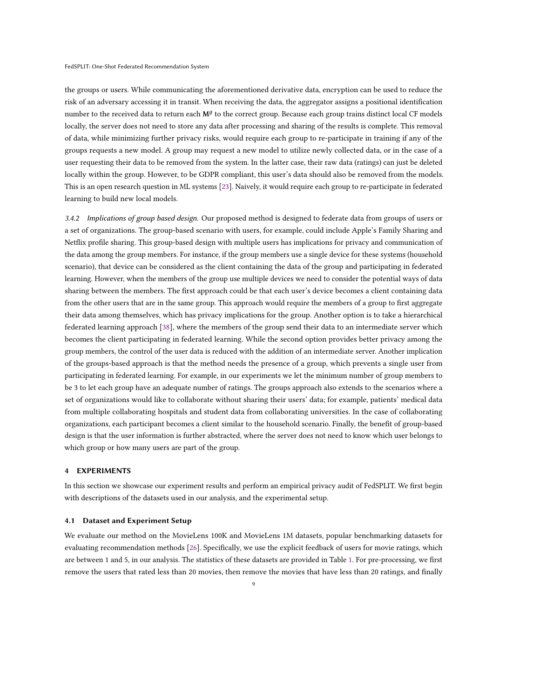the groups or users. While communicating the aforementioned derivative data, encryption can be used to reduce the risk of an adversary accessing it in transit. When receiving the data, the aggregator assigns a positional identification number to the received data to return each  $M^{g}$  to the correct group. Because each group trains distinct local CF models locally, the server does not need to store any data after processing and sharing of the results is complete. This removal of data, while minimizing further privacy risks, would require each group to re-participate in training if any of the groups requests a new model. A group may request a new model to utilize newly collected data, or in the case of a user requesting their data to be removed from the system. In the latter case, their raw data (ratings) can just be deleted locally within the group. However, to be GDPR compliant, this user's data should also be removed from the models. This is an open research question in ML systems [\[23\]](#page-14-21). Naively, it would require each group to re-participate in federated learning to build new local models.

<span id="page-8-1"></span>3.4.2 Implications of group based design. Our proposed method is designed to federate data from groups of users or a set of organizations. The group-based scenario with users, for example, could include Apple's Family Sharing and Netflix profile sharing. This group-based design with multiple users has implications for privacy and communication of the data among the group members. For instance, if the group members use a single device for these systems (household scenario), that device can be considered as the client containing the data of the group and participating in federated learning. However, when the members of the group use multiple devices we need to consider the potential ways of data sharing between the members. The first approach could be that each user's device becomes a client containing data from the other users that are in the same group. This approach would require the members of a group to first aggregate their data among themselves, which has privacy implications for the group. Another option is to take a hierarchical federated learning approach [\[38\]](#page-15-5), where the members of the group send their data to an intermediate server which becomes the client participating in federated learning. While the second option provides better privacy among the group members, the control of the user data is reduced with the addition of an intermediate server. Another implication of the groups-based approach is that the method needs the presence of a group, which prevents a single user from participating in federated learning. For example, in our experiments we let the minimum number of group members to be 3 to let each group have an adequate number of ratings. The groups approach also extends to the scenarios where a set of organizations would like to collaborate without sharing their users' data; for example, patients' medical data from multiple collaborating hospitals and student data from collaborating universities. In the case of collaborating organizations, each participant becomes a client similar to the household scenario. Finally, the benefit of group-based design is that the user information is further abstracted, where the server does not need to know which user belongs to which group or how many users are part of the group.

# 4 EXPERIMENTS

In this section we showcase our experiment results and perform an empirical privacy audit of FedSPLIT. We first begin with descriptions of the datasets used in our analysis, and the experimental setup.

## <span id="page-8-0"></span>4.1 Dataset and Experiment Setup

We evaluate our method on the MovieLens 100K and MovieLens 1M datasets, popular benchmarking datasets for evaluating recommendation methods [\[26\]](#page-14-7). Specifically, we use the explicit feedback of users for movie ratings, which are between 1 and 5, in our analysis. The statistics of these datasets are provided in Table [1.](#page-9-1) For pre-processing, we first remove the users that rated less than 20 movies, then remove the movies that have less than 20 ratings, and finally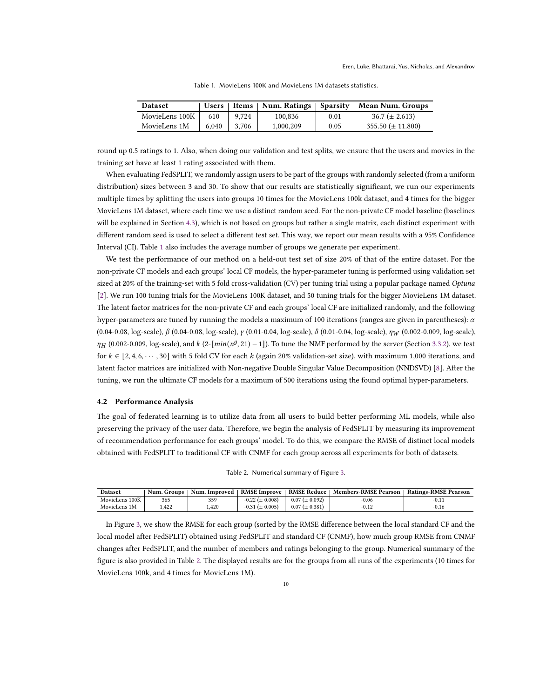<span id="page-9-1"></span>

| <b>Dataset</b> | <b>Users</b> | ∣ Items ∣ |           |      | Num. Ratings   Sparsity   Mean Num. Groups |
|----------------|--------------|-----------|-----------|------|--------------------------------------------|
| MovieLens 100K | 610          | 9.724     | 100.836   | 0.01 | $36.7 (\pm 2.613)$                         |
| MovieLens 1M   | 6.040        | 3.706     | 1.000.209 | 0.05 | $355.50 \ (\pm 11.800)$                    |

Table 1. MovieLens 100K and MovieLens 1M datasets statistics.

round up 0.5 ratings to 1. Also, when doing our validation and test splits, we ensure that the users and movies in the training set have at least 1 rating associated with them.

When evaluating FedSPLIT, we randomly assign users to be part of the groups with randomly selected (from a uniform distribution) sizes between 3 and 30. To show that our results are statistically significant, we run our experiments multiple times by splitting the users into groups 10 times for the MovieLens 100k dataset, and 4 times for the bigger MovieLens 1M dataset, where each time we use a distinct random seed. For the non-private CF model baseline (baselines will be explained in Section [4.3\)](#page-11-0), which is not based on groups but rather a single matrix, each distinct experiment with different random seed is used to select a different test set. This way, we report our mean results with a 95% Confidence Interval (CI). Table [1](#page-9-1) also includes the average number of groups we generate per experiment.

We test the performance of our method on a held-out test set of size 20% of that of the entire dataset. For the non-private CF models and each groups' local CF models, the hyper-parameter tuning is performed using validation set sized at 20% of the training-set with 5 fold cross-validation (CV) per tuning trial using a popular package named Optuna [\[2\]](#page-14-22). We run 100 tuning trials for the MovieLens 100K dataset, and 50 tuning trials for the bigger MovieLens 1M dataset. The latent factor matrices for the non-private CF and each groups' local CF are initialized randomly, and the following hyper-parameters are tuned by running the models a maximum of 100 iterations (ranges are given in parentheses):  $\alpha$  $(0.04-0.08, \log{\text{-scale}}), \beta (0.04-0.08, \log{\text{-scale}}), \gamma (0.01-0.04, \log{\text{-scale}}), \delta (0.01-0.04, \log{\text{-scale}}), \eta_W (0.002-0.009, \log{\text{-scale}}),$  $\eta_H$  (0.002-0.009, log-scale), and  $k$  (2-[ $min(n^g, 21) - 1$ ]). To tune the NMF performed by the server (Section [3.3.2\)](#page-6-1), we test for  $k \in [2, 4, 6, \cdots, 30]$  with 5 fold CV for each k (again 20% validation-set size), with maximum 1,000 iterations, and latent factor matrices are initialized with Non-negative Double Singular Value Decomposition (NNDSVD) [\[8\]](#page-14-23). After the tuning, we run the ultimate CF models for a maximum of 500 iterations using the found optimal hyper-parameters.

## <span id="page-9-0"></span>4.2 Performance Analysis

The goal of federated learning is to utilize data from all users to build better performing ML models, while also preserving the privacy of the user data. Therefore, we begin the analysis of FedSPLIT by measuring its improvement of recommendation performance for each groups' model. To do this, we compare the RMSE of distinct local models obtained with FedSPLIT to traditional CF with CNMF for each group across all experiments for both of datasets.

| Table 2. Numerical summary of Figure 3. |  |  |  |  |
|-----------------------------------------|--|--|--|--|
|-----------------------------------------|--|--|--|--|

<span id="page-9-2"></span>

| Dataset        | <b>Num. Groups</b> | Num. Improved 1 |                       |                      | <b>RMSE Improve</b>   RMSE Reduce   Members-RMSE Pearson | <b>Ratings-RMSE Pearson</b> |
|----------------|--------------------|-----------------|-----------------------|----------------------|----------------------------------------------------------|-----------------------------|
| MovieLens 100K | 365                | 359             | $-0.22 \ (\pm 0.008)$ | $0.07 \ (\pm 0.092)$ | -0.06                                                    | $-0.11$                     |
| MovieLens 1M   | .422               | .420            | $-0.31 \ (\pm 0.005)$ | $0.07 \ (\pm 0.381)$ | $-0.12$                                                  | $-0.16$                     |

In Figure [3,](#page-10-0) we show the RMSE for each group (sorted by the RMSE difference between the local standard CF and the local model after FedSPLIT) obtained using FedSPLIT and standard CF (CNMF), how much group RMSE from CNMF changes after FedSPLIT, and the number of members and ratings belonging to the group. Numerical summary of the figure is also provided in Table [2.](#page-9-2) The displayed results are for the groups from all runs of the experiments (10 times for MovieLens 100k, and 4 times for MovieLens 1M).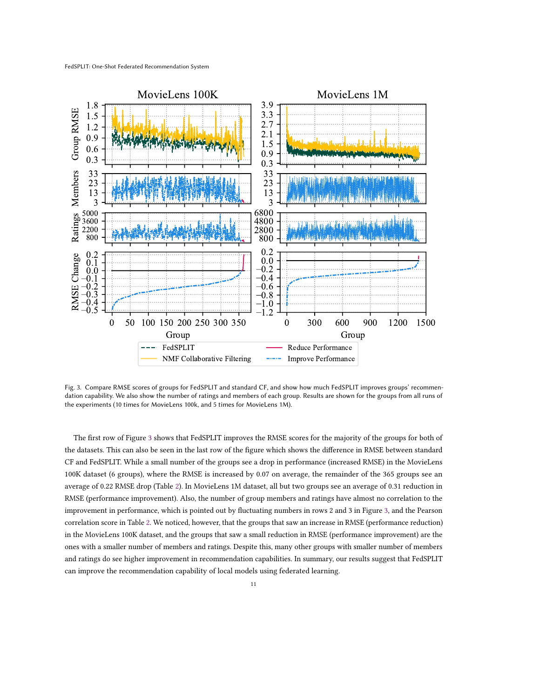<span id="page-10-0"></span>

Fig. 3. Compare RMSE scores of groups for FedSPLIT and standard CF, and show how much FedSPLIT improves groups' recommendation capability. We also show the number of ratings and members of each group. Results are shown for the groups from all runs of the experiments (10 times for MovieLens 100k, and 5 times for MovieLens 1M).

The first row of Figure [3](#page-10-0) shows that FedSPLIT improves the RMSE scores for the majority of the groups for both of the datasets. This can also be seen in the last row of the figure which shows the difference in RMSE between standard CF and FedSPLIT. While a small number of the groups see a drop in performance (increased RMSE) in the MovieLens 100K dataset (6 groups), where the RMSE is increased by 0.07 on average, the remainder of the 365 groups see an average of 0.22 RMSE drop (Table [2\)](#page-9-2). In MovieLens 1M dataset, all but two groups see an average of 0.31 reduction in RMSE (performance improvement). Also, the number of group members and ratings have almost no correlation to the improvement in performance, which is pointed out by fluctuating numbers in rows 2 and 3 in Figure [3,](#page-10-0) and the Pearson correlation score in Table [2.](#page-9-2) We noticed, however, that the groups that saw an increase in RMSE (performance reduction) in the MovieLens 100K dataset, and the groups that saw a small reduction in RMSE (performance improvement) are the ones with a smaller number of members and ratings. Despite this, many other groups with smaller number of members and ratings do see higher improvement in recommendation capabilities. In summary, our results suggest that FedSPLIT can improve the recommendation capability of local models using federated learning.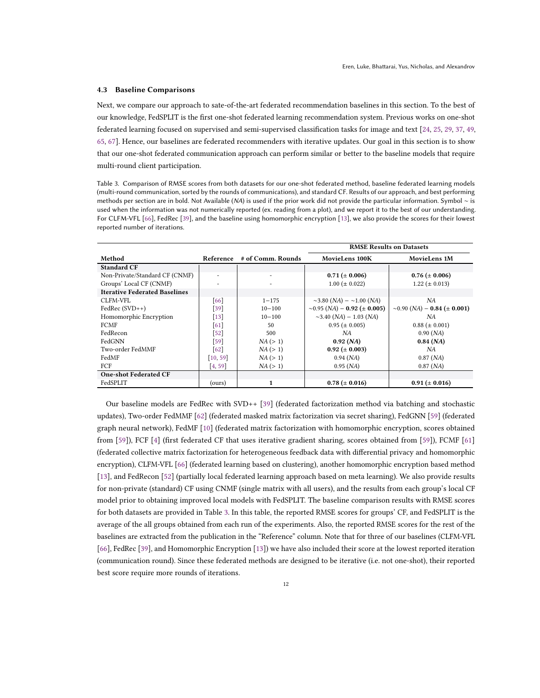#### <span id="page-11-0"></span>4.3 Baseline Comparisons

Next, we compare our approach to sate-of-the-art federated recommendation baselines in this section. To the best of our knowledge, FedSPLIT is the first one-shot federated learning recommendation system. Previous works on one-shot federated learning focused on supervised and semi-supervised classification tasks for image and text [\[24,](#page-14-6) [25,](#page-14-4) [29,](#page-15-16) [37,](#page-15-14) [49,](#page-15-17) [65,](#page-16-2) [67\]](#page-16-3). Hence, our baselines are federated recommenders with iterative updates. Our goal in this section is to show that our one-shot federated communication approach can perform similar or better to the baseline models that require multi-round client participation.

<span id="page-11-1"></span>Table 3. Comparison of RMSE scores from both datasets for our one-shot federated method, baseline federated learning models (multi-round communication, sorted by the rounds of communications), and standard CF. Results of our approach, and best performing methods per section are in bold. Not Available (NA) is used if the prior work did not provide the particular information. Symbol ∼ is used when the information was not numerically reported (ex. reading from a plot), and we report it to the best of our understanding. For CLFM-VFL [\[66\]](#page-16-5), FedRec [\[39\]](#page-15-12), and the baseline using homomorphic encryption [\[13\]](#page-14-18), we also provide the scores for their lowest reported number of iterations.

|                                      |           |                   | <b>RMSE Results on Datasets</b>                |                                        |  |
|--------------------------------------|-----------|-------------------|------------------------------------------------|----------------------------------------|--|
| Method                               | Reference | # of Comm. Rounds | MovieLens 100K                                 | MovieLens 1M                           |  |
| <b>Standard CF</b>                   |           |                   |                                                |                                        |  |
| Non-Private/Standard CF (CNMF)       |           | ٠                 | $0.71 (\pm 0.006)$                             | $0.76 (\pm 0.006)$                     |  |
| Groups' Local CF (CNMF)              |           | ۰                 | $1.00 \ (\pm 0.022)$                           | $1.22 \ (\pm 0.013)$                   |  |
| <b>Iterative Federated Baselines</b> |           |                   |                                                |                                        |  |
| CLFM-VFL                             | [66]      | $1 - 175$         | $\sim$ 3.80 (NA) – $\sim$ 1.00 (NA)            | NA                                     |  |
| $FedRec(SVD++)$                      | $[39]$    | $10 - 100$        | $\sim$ 0.95 (NA) – 0.92 ( $\pm$ 0.005)         | $\sim 0.90$ (NA) – 0.84 ( $\pm$ 0.001) |  |
| Homomorphic Encryption               | $[13]$    | $10 - 100$        | $\sim$ 3.40 ( <i>NA</i> ) – 1.03 ( <i>NA</i> ) | NA                                     |  |
| <b>FCMF</b>                          | 61        | 50                | $0.95 \ (\pm 0.005)$                           | $0.88 \ (\pm 0.001)$                   |  |
| FedRecon                             | $[52]$    | 500               | NA                                             | 0.90 (NA)                              |  |
| FedGNN                               | $[59]$    | NA (> 1)          | 0.92 (NA)                                      | 0.84 (NA)                              |  |
| Two-order FedMMF                     | 62        | NA (> 1)          | $0.92 \ (\pm 0.003)$                           | NΑ                                     |  |
| FedMF                                | [10, 59]  | NA (> 1)          | $0.94$ (NA)                                    | $0.87$ (NA)                            |  |
| FCF                                  | [4, 59]   | NA (> 1)          | $0.95$ ( <i>NA</i> )                           | $0.87$ (NA)                            |  |
| <b>One-shot Federated CF</b>         |           |                   |                                                |                                        |  |
| FedSPLIT                             | (ours)    | $\mathbf{1}$      | $0.78 (\pm 0.016)$                             | $0.91 (\pm 0.016)$                     |  |

Our baseline models are FedRec with SVD++ [\[39\]](#page-15-12) (federated factorization method via batching and stochastic updates), Two-order FedMMF [\[62\]](#page-16-7) (federated masked matrix factorization via secret sharing), FedGNN [\[59\]](#page-16-11) (federated graph neural network), FedMF [\[10\]](#page-14-14) (federated matrix factorization with homomorphic encryption, scores obtained from [\[59\]](#page-16-11)), FCF [\[4\]](#page-14-1) (first federated CF that uses iterative gradient sharing, scores obtained from [\[59\]](#page-16-11)), FCMF [\[61\]](#page-16-6) (federated collective matrix factorization for heterogeneous feedback data with differential privacy and homomorphic encryption), CLFM-VFL [\[66\]](#page-16-5) (federated learning based on clustering), another homomorphic encryption based method [\[13\]](#page-14-18), and FedRecon [\[52\]](#page-15-29) (partially local federated learning approach based on meta learning). We also provide results for non-private (standard) CF using CNMF (single matrix with all users), and the results from each group's local CF model prior to obtaining improved local models with FedSPLIT. The baseline comparison results with RMSE scores for both datasets are provided in Table [3.](#page-11-1) In this table, the reported RMSE scores for groups' CF, and FedSPLIT is the average of the all groups obtained from each run of the experiments. Also, the reported RMSE scores for the rest of the baselines are extracted from the publication in the "Reference" column. Note that for three of our baselines (CLFM-VFL [\[66\]](#page-16-5), FedRec [\[39\]](#page-15-12), and Homomorphic Encryption [\[13\]](#page-14-18)) we have also included their score at the lowest reported iteration (communication round). Since these federated methods are designed to be iterative (i.e. not one-shot), their reported best score require more rounds of iterations.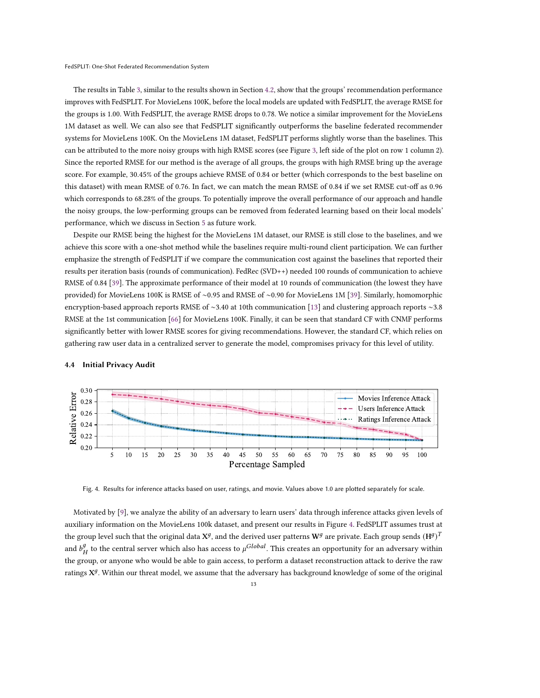The results in Table [3,](#page-11-1) similar to the results shown in Section [4.2,](#page-9-0) show that the groups' recommendation performance improves with FedSPLIT. For MovieLens 100K, before the local models are updated with FedSPLIT, the average RMSE for the groups is 1.00. With FedSPLIT, the average RMSE drops to 0.78. We notice a similar improvement for the MovieLens 1M dataset as well. We can also see that FedSPLIT significantly outperforms the baseline federated recommender systems for MovieLens 100K. On the MovieLens 1M dataset, FedSPLIT performs slightly worse than the baselines. This can be attributed to the more noisy groups with high RMSE scores (see Figure [3,](#page-10-0) left side of the plot on row 1 column 2). Since the reported RMSE for our method is the average of all groups, the groups with high RMSE bring up the average score. For example, 30.45% of the groups achieve RMSE of 0.84 or better (which corresponds to the best baseline on this dataset) with mean RMSE of 0.76. In fact, we can match the mean RMSE of 0.84 if we set RMSE cut-off as 0.96 which corresponds to 68.28% of the groups. To potentially improve the overall performance of our approach and handle the noisy groups, the low-performing groups can be removed from federated learning based on their local models' performance, which we discuss in Section [5](#page-13-0) as future work.

Despite our RMSE being the highest for the MovieLens 1M dataset, our RMSE is still close to the baselines, and we achieve this score with a one-shot method while the baselines require multi-round client participation. We can further emphasize the strength of FedSPLIT if we compare the communication cost against the baselines that reported their results per iteration basis (rounds of communication). FedRec (SVD++) needed 100 rounds of communication to achieve RMSE of 0.84 [\[39\]](#page-15-12). The approximate performance of their model at 10 rounds of communication (the lowest they have provided) for MovieLens 100K is RMSE of ∼0.95 and RMSE of ∼0.90 for MovieLens 1M [\[39\]](#page-15-12). Similarly, homomorphic encryption-based approach reports RMSE of ∼3.40 at 10th communication [\[13\]](#page-14-18) and clustering approach reports ∼3.8 RMSE at the 1st communication [\[66\]](#page-16-5) for MovieLens 100K. Finally, it can be seen that standard CF with CNMF performs significantly better with lower RMSE scores for giving recommendations. However, the standard CF, which relies on gathering raw user data in a centralized server to generate the model, compromises privacy for this level of utility.

<span id="page-12-1"></span>

## <span id="page-12-0"></span>4.4 Initial Privacy Audit

Fig. 4. Results for inference attacks based on user, ratings, and movie. Values above 1.0 are plotted separately for scale.

Motivated by [\[9\]](#page-14-24), we analyze the ability of an adversary to learn users' data through inference attacks given levels of auxiliary information on the MovieLens 100k dataset, and present our results in Figure [4.](#page-12-1) FedSPLIT assumes trust at the group level such that the original data  $X^g$ , and the derived user patterns  $W^g$  are private. Each group sends  $({\rm H}^g)^T$ and  $b_{\mu}^{\bar{g}}$  $\frac{g}{H}$  to the central server which also has access to  $\mu^{Global}.$  This creates an opportunity for an adversary within the group, or anyone who would be able to gain access, to perform a dataset reconstruction attack to derive the raw ratings  $X^g$ . Within our threat model, we assume that the adversary has background knowledge of some of the original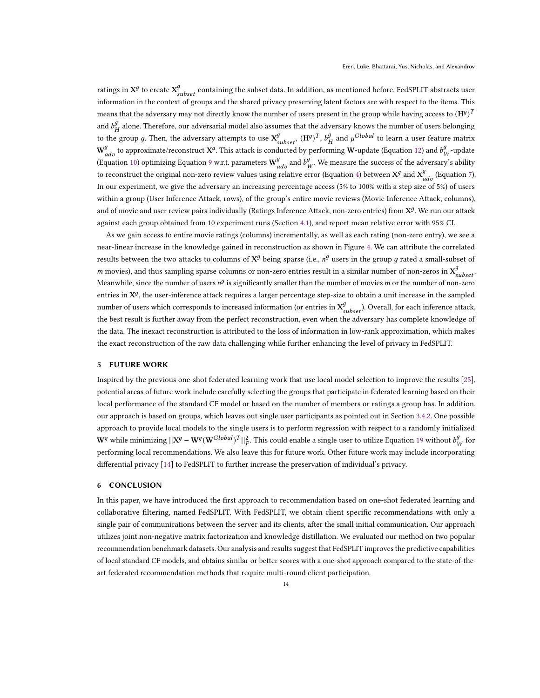ratings in  $X^g$  to create  $X^g_{subset}$  containing the subset data. In addition, as mentioned before, FedSPLIT abstracts user information in the context of groups and the shared privacy preserving latent factors are with respect to the items. This means that the adversary may not directly know the number of users present in the group while having access to  $({\rm H}^g)^{\rm 7}$ and  $b_{\mu}^{g}$  $\frac{9}{4}$  alone. Therefore, our adversarial model also assumes that the adversary knows the number of users belonging to the group g. Then, the adversary attempts to use  $X_{subset}^g$ ,  $(H^g)^T$ ,  $b^g_L$  $\frac{g}{H}$  and  $\mu^{Global}$  to learn a user feature matrix  $\mathbf{W}_{adv}^{g}$  to approximate/reconstruct  $\mathbf{X}^{g}$ . This attack is conducted by performing W-update (Equation [12\)](#page-5-4) and  $b_{V}^{g}$  $J_W^g$ -update (Equation [10\)](#page-5-2) optimizing Equation [9](#page-5-1) w.r.t. parameters  $\mathbf{W}^g_{adv}$  and  $b^g_V$  $W_W^9$ . We measure the success of the adversary's ability to reconstruct the original non-zero review values using relative error (Equation [4\)](#page-4-4) between  $X^g$  and  $X^g_{adv}$  (Equation [7\)](#page-4-6). In our experiment, we give the adversary an increasing percentage access (5% to 100% with a step size of 5%) of users within a group (User Inference Attack, rows), of the group's entire movie reviews (Movie Inference Attack, columns), and of movie and user review pairs individually (Ratings Inference Attack, non-zero entries) from  $X^g$ . We run our attack against each group obtained from 10 experiment runs (Section [4.1\)](#page-8-0), and report mean relative error with 95% CI.

As we gain access to entire movie ratings (columns) incrementally, as well as each rating (non-zero entry), we see a near-linear increase in the knowledge gained in reconstruction as shown in Figure [4.](#page-12-1) We can attribute the correlated results between the two attacks to columns of  $X^g$  being sparse (i.e.,  $n^g$  users in the group  $g$  rated a small-subset of *m* movies), and thus sampling sparse columns or non-zero entries result in a similar number of non-zeros in  $X_{subset}^g$ Meanwhile, since the number of users  $n^g$  is significantly smaller than the number of movies m or the number of non-zero entries in  $X^g$ , the user-inference attack requires a larger percentage step-size to obtain a unit increase in the sampled number of users which corresponds to increased information (or entries in  $X_{subset}^g$ ). Overall, for each inference attack, the best result is further away from the perfect reconstruction, even when the adversary has complete knowledge of the data. The inexact reconstruction is attributed to the loss of information in low-rank approximation, which makes the exact reconstruction of the raw data challenging while further enhancing the level of privacy in FedSPLIT.

## <span id="page-13-0"></span>5 FUTURE WORK

Inspired by the previous one-shot federated learning work that use local model selection to improve the results [\[25\]](#page-14-4), potential areas of future work include carefully selecting the groups that participate in federated learning based on their local performance of the standard CF model or based on the number of members or ratings a group has. In addition, our approach is based on groups, which leaves out single user participants as pointed out in Section [3.4.2.](#page-8-1) One possible approach to provide local models to the single users is to perform regression with respect to a randomly initialized  $\mathbf{W}^g$  while minimizing  $||\mathbf{X}^g - \mathbf{W}^g(\mathbf{W}^{Global})^T||_F^2$ . This could enable a single user to utilize Equation [19](#page-7-4) without  $b^g$  $W^{\mathcal{Y}}$  for performing local recommendations. We also leave this for future work. Other future work may include incorporating differential privacy [\[14\]](#page-14-25) to FedSPLIT to further increase the preservation of individual's privacy.

### 6 CONCLUSION

In this paper, we have introduced the first approach to recommendation based on one-shot federated learning and collaborative filtering, named FedSPLIT. With FedSPLIT, we obtain client specific recommendations with only a single pair of communications between the server and its clients, after the small initial communication. Our approach utilizes joint non-negative matrix factorization and knowledge distillation. We evaluated our method on two popular recommendation benchmark datasets. Our analysis and results suggest that FedSPLIT improves the predictive capabilities of local standard CF models, and obtains similar or better scores with a one-shot approach compared to the state-of-theart federated recommendation methods that require multi-round client participation.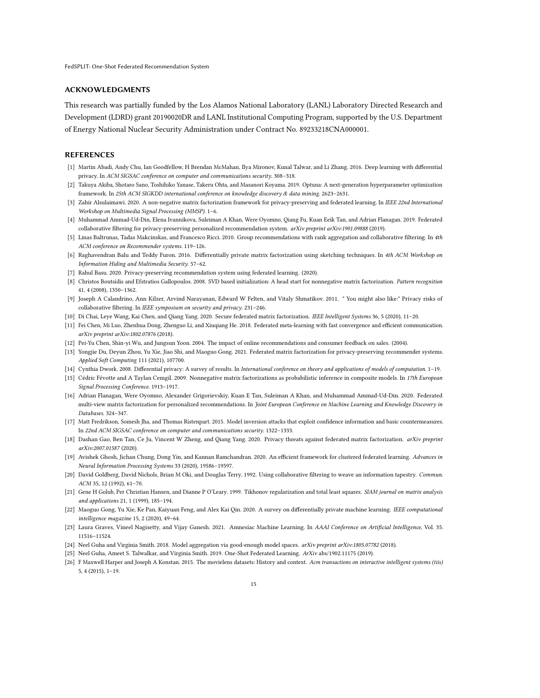## ACKNOWLEDGMENTS

This research was partially funded by the Los Alamos National Laboratory (LANL) Laboratory Directed Research and Development (LDRD) grant 20190020DR and LANL Institutional Computing Program, supported by the U.S. Department of Energy National Nuclear Security Administration under Contract No. 89233218CNA000001.

# **REFERENCES**

- <span id="page-14-13"></span>[1] Martin Abadi, Andy Chu, Ian Goodfellow, H Brendan McMahan, Ilya Mironov, Kunal Talwar, and Li Zhang. 2016. Deep learning with differential privacy. In ACM SIGSAC conference on computer and communications security. 308–318.
- <span id="page-14-22"></span>[2] Takuya Akiba, Shotaro Sano, Toshihiko Yanase, Takeru Ohta, and Masanori Koyama. 2019. Optuna: A next-generation hyperparameter optimization framework. In 25th ACM SIGKDD international conference on knowledge discovery & data mining. 2623–2631.
- <span id="page-14-9"></span>[3] Zahir Alsulaimawi. 2020. A non-negative matrix factorization framework for privacy-preserving and federated learning. In IEEE 22nd International Workshop on Multimedia Signal Processing (MMSP). 1–6.
- <span id="page-14-1"></span>[4] Muhammad Ammad-Ud-Din, Elena Ivannikova, Suleiman A Khan, Were Oyomno, Qiang Fu, Kuan Eeik Tan, and Adrian Flanagan. 2019. Federated collaborative filtering for privacy-preserving personalized recommendation system. arXiv preprint arXiv:1901.09888 (2019).
- <span id="page-14-19"></span>[5] Linas Baltrunas, Tadas Makcinskas, and Francesco Ricci. 2010. Group recommendations with rank aggregation and collaborative filtering. In 4th ACM conference on Recommender systems. 119–126.
- <span id="page-14-15"></span>[6] Raghavendran Balu and Teddy Furon. 2016. Differentially private matrix factorization using sketching techniques. In 4th ACM Workshop on Information Hiding and Multimedia Security. 57–62.
- <span id="page-14-8"></span>[7] Rahul Basu. 2020. Privacy-preserving recommendation system using federated learning. (2020).
- <span id="page-14-23"></span>[8] Christos Boutsidis and Efstratios Gallopoulos. 2008. SVD based initialization: A head start for nonnegative matrix factorization. Pattern recognition 41, 4 (2008), 1350–1362.
- <span id="page-14-24"></span>[9] Joseph A Calandrino, Ann Kilzer, Arvind Narayanan, Edward W Felten, and Vitaly Shmatikov. 2011. " You might also like:" Privacy risks of collaborative filtering. In IEEE symposium on security and privacy. 231–246.
- <span id="page-14-14"></span>[10] Di Chai, Leye Wang, Kai Chen, and Qiang Yang. 2020. Secure federated matrix factorization. IEEE Intelligent Systems 36, 5 (2020), 11-20.
- <span id="page-14-5"></span>[11] Fei Chen, Mi Luo, Zhenhua Dong, Zhenguo Li, and Xiuqiang He. 2018. Federated meta-learning with fast convergence and efficient communication. arXiv preprint arXiv:1802.07876 (2018).
- <span id="page-14-0"></span>[12] Pei-Yu Chen, Shin-yi Wu, and Jungsun Yoon. 2004. The impact of online recommendations and consumer feedback on sales. (2004).
- <span id="page-14-18"></span>[13] Yongjie Du, Deyun Zhou, Yu Xie, Jiao Shi, and Maoguo Gong. 2021. Federated matrix factorization for privacy-preserving recommender systems. Applied Soft Computing 111 (2021), 107700.
- <span id="page-14-25"></span>[14] Cynthia Dwork. 2008. Differential privacy: A survey of results. In International conference on theory and applications of models of computation. 1–19.
- <span id="page-14-16"></span>[15] Cédric Févotte and A Taylan Cemgil. 2009. Nonnegative matrix factorizations as probabilistic inference in composite models. In 17th European Signal Processing Conference. 1913–1917.
- <span id="page-14-2"></span>[16] Adrian Flanagan, Were Oyomno, Alexander Grigorievskiy, Kuan E Tan, Suleiman A Khan, and Muhammad Ammad-Ud-Din. 2020. Federated multi-view matrix factorization for personalized recommendations. In Joint European Conference on Machine Learning and Knowledge Discovery in Databases. 324–347.
- <span id="page-14-12"></span>[17] Matt Fredrikson, Somesh Jha, and Thomas Ristenpart. 2015. Model inversion attacks that exploit confidence information and basic countermeasures. In 22nd ACM SIGSAC conference on computer and communications security. 1322–1333.
- <span id="page-14-11"></span>[18] Dashan Gao, Ben Tan, Ce Ju, Vincent W Zheng, and Qiang Yang. 2020. Privacy threats against federated matrix factorization. arXiv preprint arXiv:2007.01587 (2020).
- <span id="page-14-20"></span>[19] Avishek Ghosh, Jichan Chung, Dong Yin, and Kannan Ramchandran. 2020. An efficient framework for clustered federated learning. Advances in Neural Information Processing Systems 33 (2020), 19586–19597.
- <span id="page-14-3"></span>[20] David Goldberg, David Nichols, Brian M Oki, and Douglas Terry. 1992. Using collaborative filtering to weave an information tapestry. Commun. ACM 35, 12 (1992), 61–70.
- <span id="page-14-17"></span>[21] Gene H Golub, Per Christian Hansen, and Dianne P O'Leary. 1999. Tikhonov regularization and total least squares. SIAM journal on matrix analysis and applications 21, 1 (1999), 185–194.
- <span id="page-14-10"></span>[22] Maoguo Gong, Yu Xie, Ke Pan, Kaiyuan Feng, and Alex Kai Qin. 2020. A survey on differentially private machine learning. IEEE computational intelligence magazine 15, 2 (2020), 49–64.
- <span id="page-14-21"></span>[23] Laura Graves, Vineel Nagisetty, and Vijay Ganesh. 2021. Amnesiac Machine Learning. In AAAI Conference on Artificial Intelligence, Vol. 35. 11516–11524.
- <span id="page-14-6"></span>[24] Neel Guha and Virginia Smith. 2018. Model aggregation via good-enough model spaces. arXiv preprint arXiv:1805.07782 (2018).
- <span id="page-14-4"></span>[25] Neel Guha, Ameet S. Talwalkar, and Virginia Smith. 2019. One-Shot Federated Learning. ArXiv abs/1902.11175 (2019).
- <span id="page-14-7"></span>[26] F Maxwell Harper and Joseph A Konstan. 2015. The movielens datasets: History and context. Acm transactions on interactive intelligent systems (tiis) 5, 4 (2015), 1–19.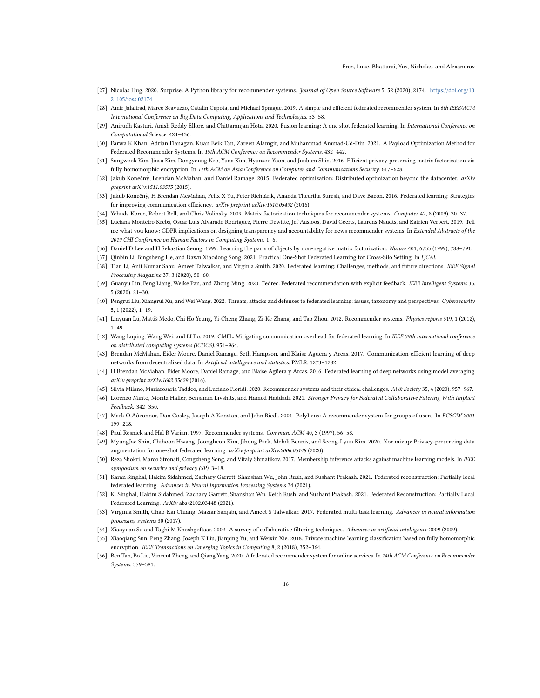- <span id="page-15-18"></span>[27] Nicolas Hug. 2020. Surprise: A Python library for recommender systems. Journal of Open Source Software 5, 52 (2020), 2174. [https://doi.org/10.](https://doi.org/10.21105/joss.02174) [21105/joss.02174](https://doi.org/10.21105/joss.02174)
- <span id="page-15-11"></span>[28] Amir Jalalirad, Marco Scavuzzo, Catalin Capota, and Michael Sprague. 2019. A simple and efficient federated recommender system. In 6th IEEE/ACM International Conference on Big Data Computing, Applications and Technologies. 53–58.
- <span id="page-15-16"></span>Anirudh Kasturi, Anish Reddy Ellore, and Chittaranjan Hota. 2020. Fusion learning: A one shot federated learning. In International Conference on Computational Science. 424–436.
- <span id="page-15-23"></span>[30] Farwa K Khan, Adrian Flanagan, Kuan Eeik Tan, Zareen Alamgir, and Muhammad Ammad-Ud-Din. 2021. A Payload Optimization Method for Federated Recommender Systems. In 15th ACM Conference on Recommender Systems. 432–442.
- <span id="page-15-26"></span>[31] Sungwook Kim, Jinsu Kim, Dongyoung Koo, Yuna Kim, Hyunsoo Yoon, and Junbum Shin. 2016. Efficient privacy-preserving matrix factorization via fully homomorphic encryption. In 11th ACM on Asia Conference on Computer and Communications Security. 617–628.
- <span id="page-15-6"></span>[32] Jakub Konečný, Brendan McMahan, and Daniel Ramage. 2015. Federated optimization: Distributed optimization beyond the datacenter. arXiv preprint arXiv:1511.03575 (2015).
- <span id="page-15-7"></span>[33] Jakub Konečny, H Brendan McMahan, Felix X Yu, Peter Richtárik, Ananda Theertha Suresh, and Dave Bacon. 2016. Federated learning: Strategies ` for improving communication efficiency. arXiv preprint arXiv:1610.05492 (2016).
- <span id="page-15-19"></span><span id="page-15-2"></span>[34] Yehuda Koren, Robert Bell, and Chris Volinsky. 2009. Matrix factorization techniques for recommender systems. Computer 42, 8 (2009), 30–37.
- [35] Luciana Monteiro Krebs, Oscar Luis Alvarado Rodriguez, Pierre Dewitte, Jef Ausloos, David Geerts, Laurens Naudts, and Katrien Verbert. 2019. Tell me what you know: GDPR implications on designing transparency and accountability for news recommender systems. In Extended Abstracts of the 2019 CHI Conference on Human Factors in Computing Systems. 1–6.
- <span id="page-15-28"></span>[36] Daniel D Lee and H Sebastian Seung. 1999. Learning the parts of objects by non-negative matrix factorization. Nature 401, 6755 (1999), 788–791.
- <span id="page-15-14"></span><span id="page-15-5"></span>[37] Qinbin Li, Bingsheng He, and Dawn Xiaodong Song. 2021. Practical One-Shot Federated Learning for Cross-Silo Setting. In IJCAI.
- [38] Tian Li, Anit Kumar Sahu, Ameet Talwalkar, and Virginia Smith. 2020. Federated learning: Challenges, methods, and future directions. IEEE Signal Processing Magazine 37, 3 (2020), 50–60.
- <span id="page-15-12"></span>[39] Guanyu Lin, Feng Liang, Weike Pan, and Zhong Ming. 2020. Fedrec: Federated recommendation with explicit feedback. IEEE Intelligent Systems 36, 5 (2020), 21–30.
- <span id="page-15-3"></span>[40] Pengrui Liu, Xiangrui Xu, and Wei Wang. 2022. Threats, attacks and defenses to federated learning: issues, taxonomy and perspectives. Cybersecurity 5, 1 (2022), 1–19.
- <span id="page-15-0"></span>[41] Linyuan Lü, Matúš Medo, Chi Ho Yeung, Yi-Cheng Zhang, Zi-Ke Zhang, and Tao Zhou. 2012. Recommender systems. Physics reports 519, 1 (2012),  $1 - 49.$
- <span id="page-15-8"></span>[42] Wang Luping, Wang Wei, and LI Bo. 2019. CMFL: Mitigating communication overhead for federated learning. In IEEE 39th international conference on distributed computing systems (ICDCS). 954–964.
- <span id="page-15-15"></span>[43] Brendan McMahan, Eider Moore, Daniel Ramage, Seth Hampson, and Blaise Aguera y Arcas. 2017. Communication-efficient learning of deep networks from decentralized data. In Artificial intelligence and statistics. PMLR, 1273–1282.
- <span id="page-15-9"></span>[44] H Brendan McMahan, Eider Moore, Daniel Ramage, and Blaise Agüera y Arcas. 2016. Federated learning of deep networks using model averaging. arXiv preprint arXiv:1602.05629 (2016).
- <span id="page-15-1"></span>[45] Silvia Milano, Mariarosaria Taddeo, and Luciano Floridi. 2020. Recommender systems and their ethical challenges. Ai & Society 35, 4 (2020), 957–967.
- <span id="page-15-21"></span>[46] Lorenzo Minto, Moritz Haller, Benjamin Livshits, and Hamed Haddadi. 2021. Stronger Privacy for Federated Collaborative Filtering With Implicit Feedback. 342–350.
- <span id="page-15-27"></span>[47] Mark O, Äôconnor, Dan Cosley, Joseph A Konstan, and John Riedl. 2001. PolyLens: A recommender system for groups of users. In ECSCW 2001. 199–218.
- <span id="page-15-4"></span>[48] Paul Resnick and Hal R Varian. 1997. Recommender systems. Commun. ACM 40, 3 (1997), 56–58.
- <span id="page-15-17"></span>[49] MyungJae Shin, Chihoon Hwang, Joongheon Kim, Jihong Park, Mehdi Bennis, and Seong-Lyun Kim. 2020. Xor mixup: Privacy-preserving data augmentation for one-shot federated learning. arXiv preprint arXiv:2006.05148 (2020).
- <span id="page-15-24"></span>[50] Reza Shokri, Marco Stronati, Congzheng Song, and Vitaly Shmatikov. 2017. Membership inference attacks against machine learning models. In IEEE symposium on security and privacy (SP). 3–18.
- <span id="page-15-13"></span>[51] Karan Singhal, Hakim Sidahmed, Zachary Garrett, Shanshan Wu, John Rush, and Sushant Prakash. 2021. Federated reconstruction: Partially local federated learning. Advances in Neural Information Processing Systems 34 (2021).
- <span id="page-15-29"></span>[52] K. Singhal, Hakim Sidahmed, Zachary Garrett, Shanshan Wu, Keith Rush, and Sushant Prakash. 2021. Federated Reconstruction: Partially Local Federated Learning. ArXiv abs/2102.03448 (2021).
- <span id="page-15-10"></span>[53] Virginia Smith, Chao-Kai Chiang, Maziar Sanjabi, and Ameet S Talwalkar. 2017. Federated multi-task learning. Advances in neural information processing systems 30 (2017).
- <span id="page-15-20"></span>[54] Xiaoyuan Su and Taghi M Khoshgoftaar. 2009. A survey of collaborative filtering techniques. Advances in artificial intelligence 2009 (2009).
- <span id="page-15-25"></span>[55] Xiaoqiang Sun, Peng Zhang, Joseph K Liu, Jianping Yu, and Weixin Xie. 2018. Private machine learning classification based on fully homomorphic encryption. IEEE Transactions on Emerging Topics in Computing 8, 2 (2018), 352–364.
- <span id="page-15-22"></span>[56] Ben Tan, Bo Liu, Vincent Zheng, and Qiang Yang. 2020. A federated recommender system for online services. In 14th ACM Conference on Recommender Systems. 579–581.